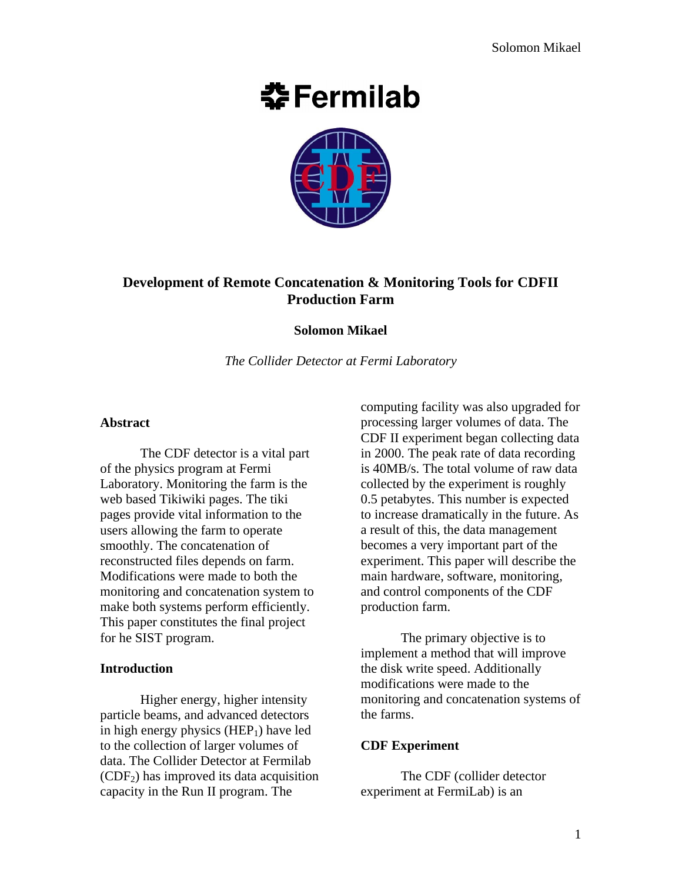# **춘Fermilab**



# **Development of Remote Concatenation & Monitoring Tools for CDFII Production Farm**

#### **Solomon Mikael**

*The Collider Detector at Fermi Laboratory*

#### **Abstract**

The CDF detector is a vital part of the physics program at Fermi Laboratory. Monitoring the farm is the web based Tikiwiki pages. The tiki pages provide vital information to the users allowing the farm to operate smoothly. The concatenation of reconstructed files depends on farm. Modifications were made to both the monitoring and concatenation system to make both systems perform efficiently. This paper constitutes the final project for he SIST program.

#### **Introduction**

Higher energy, higher intensity particle beams, and advanced detectors in high energy physics  $(HEP<sub>1</sub>)$  have led to the collection of larger volumes of data. The Collider Detector at Fermilab  $(CDF<sub>2</sub>)$  has improved its data acquisition capacity in the Run II program. The

computing facility was also upgraded for processing larger volumes of data. The CDF II experiment began collecting data in 2000. The peak rate of data recording is 40MB/s. The total volume of raw data collected by the experiment is roughly 0.5 petabytes. This number is expected to increase dramatically in the future. As a result of this, the data management becomes a very important part of the experiment. This paper will describe the main hardware, software, monitoring, and control components of the CDF production farm.

The primary objective is to implement a method that will improve the disk write speed. Additionally modifications were made to the monitoring and concatenation systems of the farms.

# **CDF Experiment**

The CDF (collider detector experiment at FermiLab) is an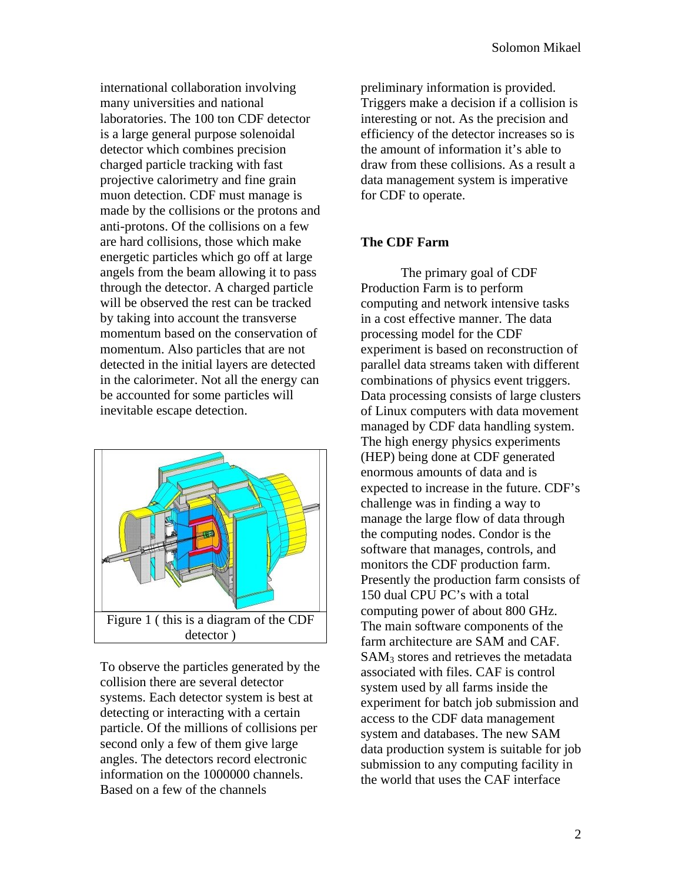international collaboration involving many universities and national laboratories. The 100 ton CDF detector is a large general purpose solenoidal detector which combines precision charged particle tracking with fast projective calorimetry and fine grain muon detection. CDF must manage is made by the collisions or the protons and anti-protons. Of the collisions on a few are hard collisions, those which make energetic particles which go off at large angels from the beam allowing it to pass through the detector. A charged particle will be observed the rest can be tracked by taking into account the transverse momentum based on the conservation of momentum. Also particles that are not detected in the initial layers are detected in the calorimeter. Not all the energy can be accounted for some particles will inevitable escape detection.



To observe the particles generated by the collision there are several detector systems. Each detector system is best at detecting or interacting with a certain particle. Of the millions of collisions per second only a few of them give large angles. The detectors record electronic information on the 1000000 channels. Based on a few of the channels

preliminary information is provided. Triggers make a decision if a collision is interesting or not. As the precision and efficiency of the detector increases so is the amount of information it's able to draw from these collisions. As a result a data management system is imperative for CDF to operate.

# **The CDF Farm**

The primary goal of CDF Production Farm is to perform computing and network intensive tasks in a cost effective manner. The data processing model for the CDF experiment is based on reconstruction of parallel data streams taken with different combinations of physics event triggers. Data processing consists of large clusters of Linux computers with data movement managed by CDF data handling system. The high energy physics experiments (HEP) being done at CDF generated enormous amounts of data and is expected to increase in the future. CDF's challenge was in finding a way to manage the large flow of data through the computing nodes. Condor is the software that manages, controls, and monitors the CDF production farm. Presently the production farm consists of 150 dual CPU PC's with a total computing power of about 800 GHz. The main software components of the farm architecture are SAM and CAF.  $SAM<sub>3</sub>$  stores and retrieves the metadata associated with files. CAF is control system used by all farms inside the experiment for batch job submission and access to the CDF data management system and databases. The new SAM data production system is suitable for job submission to any computing facility in the world that uses the CAF interface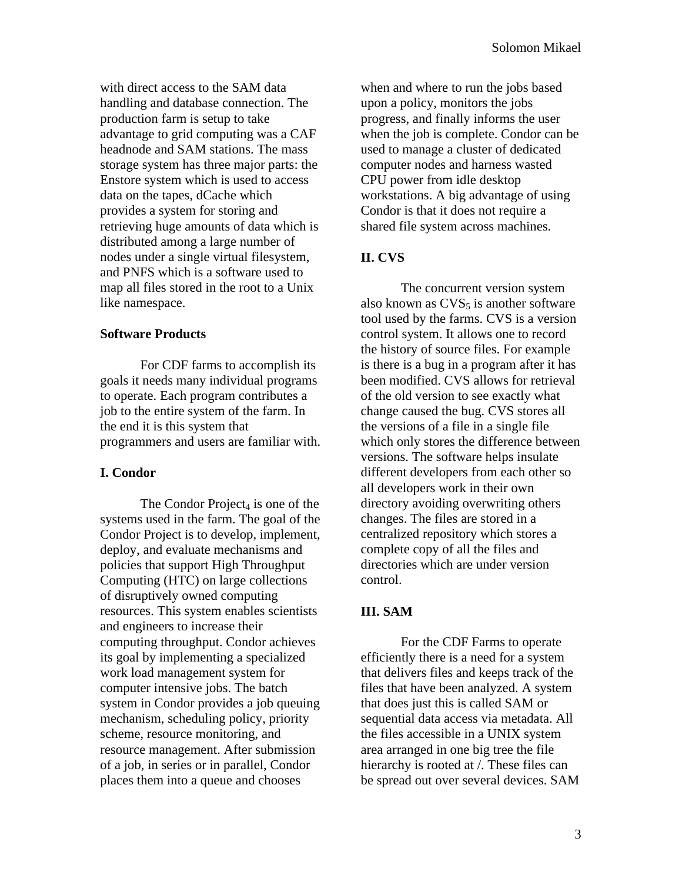with direct access to the SAM data handling and database connection. The production farm is setup to take advantage to grid computing was a CAF headnode and SAM stations. The mass storage system has three major parts: the Enstore system which is used to access data on the tapes, dCache which provides a system for storing and retrieving huge amounts of data which is distributed among a large number of nodes under a single virtual filesystem, and PNFS which is a software used to map all files stored in the root to a Unix like namespace.

### **Software Products**

For CDF farms to accomplish its goals it needs many individual programs to operate. Each program contributes a job to the entire system of the farm. In the end it is this system that programmers and users are familiar with.

#### **I. Condor**

The Condor Project<sub>4</sub> is one of the systems used in the farm. The goal of the Condor Project is to develop, implement, deploy, and evaluate mechanisms and policies that support High Throughput Computing (HTC) on large collections of disruptively owned computing resources. This system enables scientists and engineers to increase their computing throughput. Condor achieves its goal by implementing a specialized work load management system for computer intensive jobs. The batch system in Condor provides a job queuing mechanism, scheduling policy, priority scheme, resource monitoring, and resource management. After submission of a job, in series or in parallel, Condor places them into a queue and chooses

when and where to run the jobs based upon a policy, monitors the jobs progress, and finally informs the user when the job is complete. Condor can be used to manage a cluster of dedicated computer nodes and harness wasted CPU power from idle desktop workstations. A big advantage of using Condor is that it does not require a shared file system across machines.

# **II. CVS**

The concurrent version system also known as  $CVS<sub>5</sub>$  is another software tool used by the farms. CVS is a version control system. It allows one to record the history of source files. For example is there is a bug in a program after it has been modified. CVS allows for retrieval of the old version to see exactly what change caused the bug. CVS stores all the versions of a file in a single file which only stores the difference between versions. The software helps insulate different developers from each other so all developers work in their own directory avoiding overwriting others changes. The files are stored in a centralized repository which stores a complete copy of all the files and directories which are under version control.

# **III. SAM**

For the CDF Farms to operate efficiently there is a need for a system that delivers files and keeps track of the files that have been analyzed. A system that does just this is called SAM or sequential data access via metadata. All the files accessible in a UNIX system area arranged in one big tree the file hierarchy is rooted at /. These files can be spread out over several devices. SAM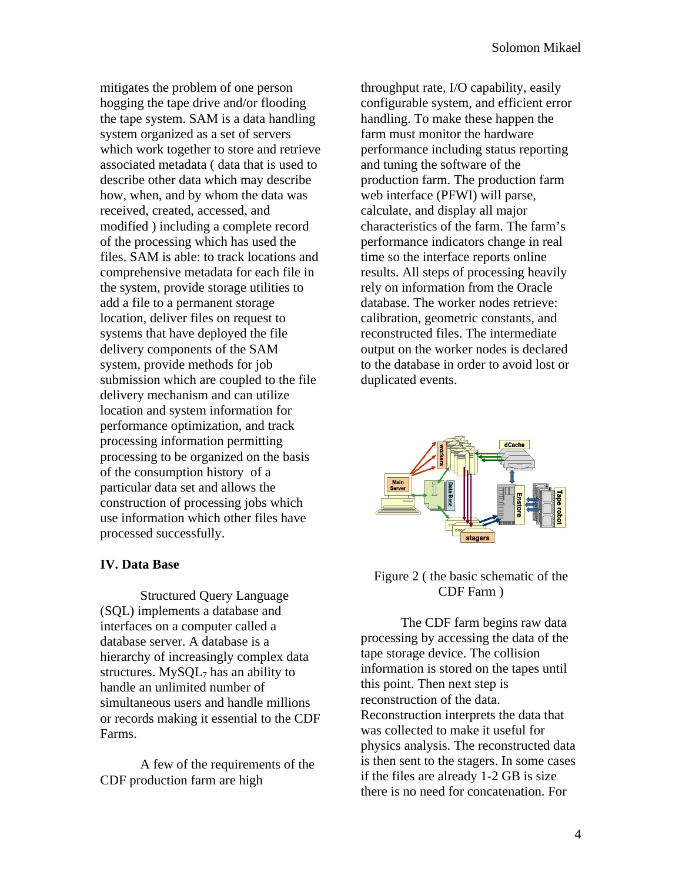mitigates the problem of one person hogging the tape drive and/or flooding the tape system. SAM is a data handling system organized as a set of servers which work together to store and retrieve associated metadata ( data that is used to describe other data which may describe how, when, and by whom the data was received, created, accessed, and modified ) including a complete record of the processing which has used the files. SAM is able: to track locations and comprehensive metadata for each file in the system, provide storage utilities to add a file to a permanent storage location, deliver files on request to systems that have deployed the file delivery components of the SAM system, provide methods for job submission which are coupled to the file delivery mechanism and can utilize location and system information for performance optimization, and track processing information permitting processing to be organized on the basis of the consumption history of a particular data set and allows the construction of processing jobs which use information which other files have processed successfully.

#### **IV. Data Base**

Structured Query Language (SQL) implements a database and interfaces on a computer called a database server. A database is a hierarchy of increasingly complex data structures.  $MySOL<sub>7</sub>$  has an ability to handle an unlimited number of simultaneous users and handle millions or records making it essential to the CDF Farms.

A few of the requirements of the CDF production farm are high

throughput rate, I/O capability, easily configurable system, and efficient error handling. To make these happen the farm must monitor the hardware performance including status reporting and tuning the software of the production farm. The production farm web interface (PFWI) will parse, calculate, and display all major characteristics of the farm. The farm's performance indicators change in real time so the interface reports online results. All steps of processing heavily rely on information from the Oracle database. The worker nodes retrieve: calibration, geometric constants, and reconstructed files. The intermediate output on the worker nodes is declared to the database in order to avoid lost or duplicated events.



### Figure 2 ( the basic schematic of the CDF Farm )

The CDF farm begins raw data processing by accessing the data of the tape storage device. The collision information is stored on the tapes until this point. Then next step is reconstruction of the data. Reconstruction interprets the data that was collected to make it useful for physics analysis. The reconstructed data is then sent to the stagers. In some cases if the files are already 1-2 GB is size there is no need for concatenation. For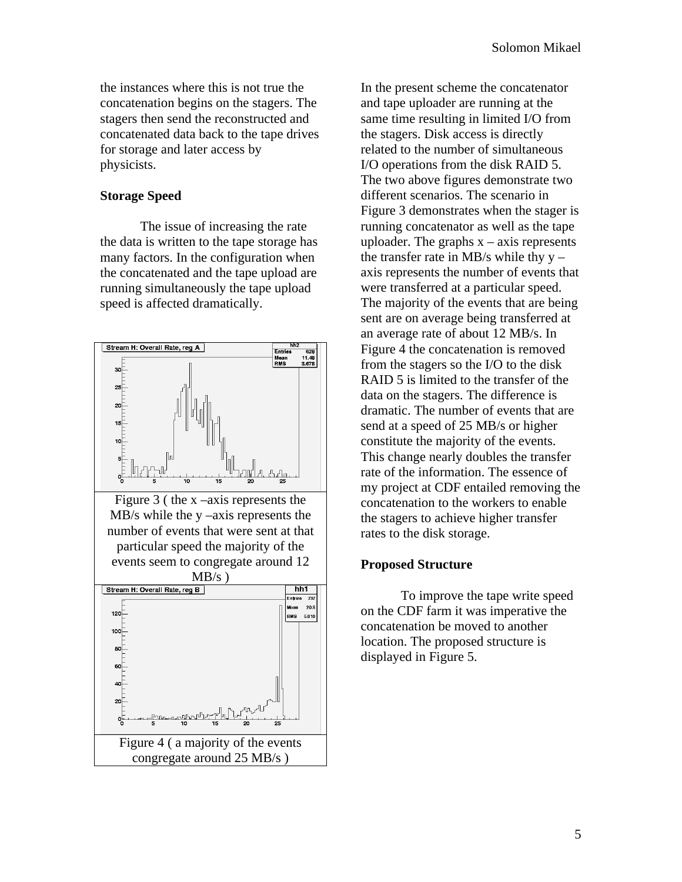the instances where this is not true the concatenation begins on the stagers. The stagers then send the reconstructed and concatenated data back to the tape drives for storage and later access by physicists.

# **Storage Speed**

The issue of increasing the rate the data is written to the tape storage has many factors. In the configuration when the concatenated and the tape upload are running simultaneously the tape upload speed is affected dramatically.



In the present scheme the concatenator and tape uploader are running at the same time resulting in limited I/O from the stagers. Disk access is directly related to the number of simultaneous I/O operations from the disk RAID 5. The two above figures demonstrate two different scenarios. The scenario in Figure 3 demonstrates when the stager is running concatenator as well as the tape uploader. The graphs  $x - axis$  represents the transfer rate in MB/s while thy  $y$ axis represents the number of events that were transferred at a particular speed. The majority of the events that are being sent are on average being transferred at an average rate of about 12 MB/s. In Figure 4 the concatenation is removed from the stagers so the I/O to the disk RAID 5 is limited to the transfer of the data on the stagers. The difference is dramatic. The number of events that are send at a speed of 25 MB/s or higher constitute the majority of the events. This change nearly doubles the transfer rate of the information. The essence of my project at CDF entailed removing the concatenation to the workers to enable the stagers to achieve higher transfer rates to the disk storage.

# **Proposed Structure**

To improve the tape write speed on the CDF farm it was imperative the concatenation be moved to another location. The proposed structure is displayed in Figure 5.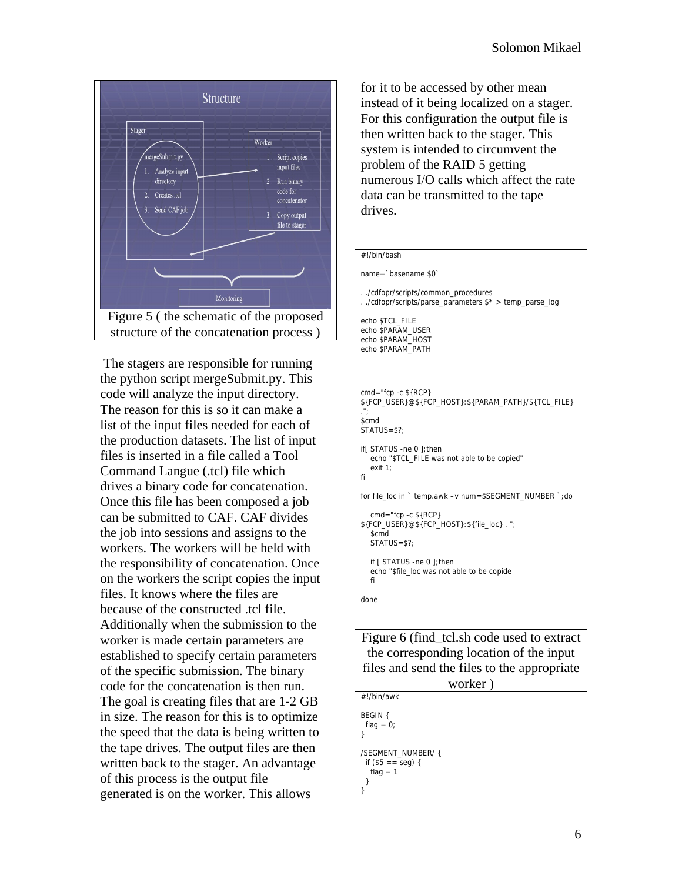

 The stagers are responsible for running the python script mergeSubmit.py. This code will analyze the input directory. The reason for this is so it can make a list of the input files needed for each of the production datasets. The list of input files is inserted in a file called a Tool Command Langue (.tcl) file which drives a binary code for concatenation. Once this file has been composed a job can be submitted to CAF. CAF divides the job into sessions and assigns to the workers. The workers will be held with the responsibility of concatenation. Once on the workers the script copies the input files. It knows where the files are because of the constructed .tcl file. Additionally when the submission to the worker is made certain parameters are established to specify certain parameters of the specific submission. The binary code for the concatenation is then run. The goal is creating files that are 1-2 GB in size. The reason for this is to optimize the speed that the data is being written to the tape drives. The output files are then written back to the stager. An advantage of this process is the output file generated is on the worker. This allows

for it to be accessed by other mean instead of it being localized on a stager. For this configuration the output file is then written back to the stager. This system is intended to circumvent the problem of the RAID 5 getting numerous I/O calls which affect the rate data can be transmitted to the tape drives.

#### #!/bin/bash

name=`basename \$0`

```
. ./cdfopr/scripts/common_procedures
. ./cdfopr/scripts/parse_parameters $* > temp_parse_log
echo $TCL_FILE
echo $PARAM_USER
echo $PARAM_HOST
echo $PARAM_PATH
```

```
cmd="fcp -c ${RCP} 
${FCP_USER}@${FCP_HOST}:${PARAM_PATH}/${TCL_FILE} 
.";
$cmd
STATUS=$?;
if[ STATUS -ne 0 ];then
   echo "$TCL_FILE was not able to be copied"
   exit 1;
fi
for file_loc in ` temp.awk –v num=$SEGMENT_NUMBER `;do
   cmd="fcp -c ${RCP} 
${FCP_USER}@${FCP_HOST}:${file_loc} . ";
```
 \$cmd STATUS=\$?; if [ STATUS -ne 0 ];then echo "\$file\_loc was not able to be copide fi

done

Figure 6 (find\_tcl.sh code used to extract the corresponding location of the input files and send the files to the appropriate worker )

| #!/bin/awk                                                  |  |
|-------------------------------------------------------------|--|
| BEGIN {<br>flag = $0$ ;<br>λ                                |  |
| /SEGMENT NUMBER/{<br>if $(\$5 == seq) {$<br>flag = $1$<br>} |  |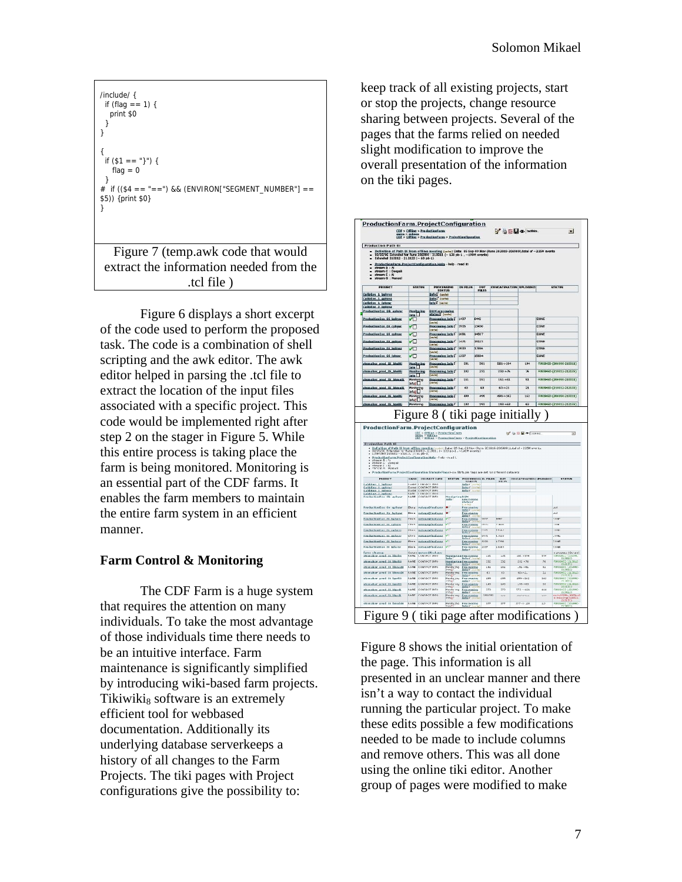

extract the information needed from the .tcl file )

Figure 6 displays a short excerpt of the code used to perform the proposed task. The code is a combination of shell scripting and the awk editor. The awk editor helped in parsing the .tcl file to extract the location of the input files associated with a specific project. This code would be implemented right after step 2 on the stager in Figure 5. While this entire process is taking place the farm is being monitored. Monitoring is an essential part of the CDF farms. It enables the farm members to maintain the entire farm system in an efficient manner.

# **Farm Control & Monitoring**

The CDF Farm is a huge system that requires the attention on many individuals. To take the most advantage of those individuals time there needs to be an intuitive interface. Farm maintenance is significantly simplified by introducing wiki-based farm projects. Tikiwiki<sub>8</sub> software is an extremely efficient tool for webbased documentation. Additionally its underlying database serverkeeps a history of all changes to the Farm Projects. The tiki pages with Project configurations give the possibility to:

keep track of all existing projects, start or stop the projects, change resource sharing between projects. Several of the pages that the farms relied on needed slight modification to improve the overall presentation of the information on the tiki pages.



Figure 8 shows the initial orientation of the page. This information is all presented in an unclear manner and there isn't a way to contact the individual running the particular project. To make these edits possible a few modifications needed to be made to include columns and remove others. This was all done using the online tiki editor. Another group of pages were modified to make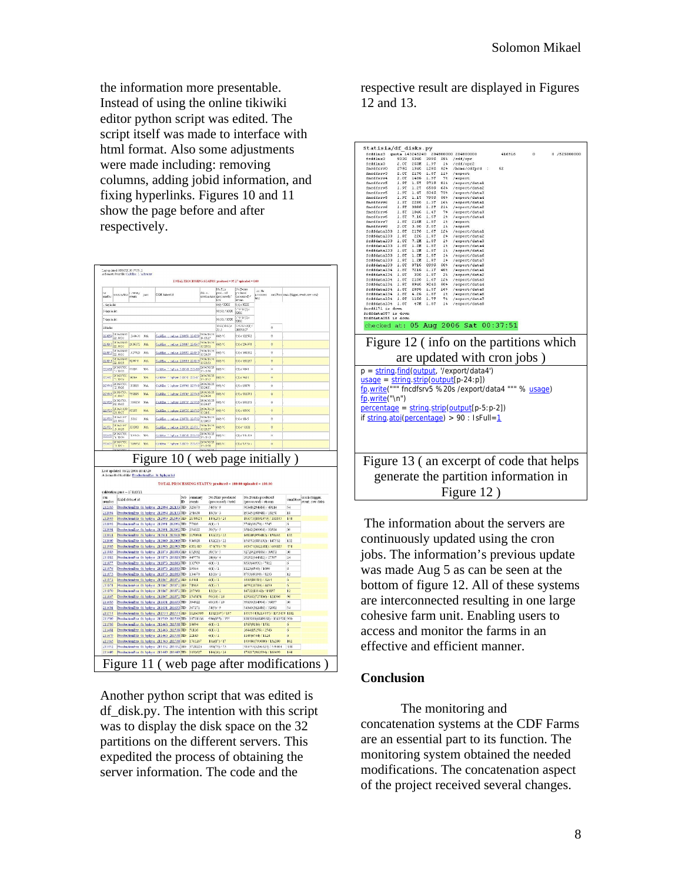the information more presentable. Instead of using the online tikiwiki editor python script was edited. The script itself was made to interface with html format. Also some adjustments were made including: removing columns, adding jobid information, and fixing hyperlinks. Figures 10 and 11 show the page before and after respectively.

| reach to         | oremon time                       | mme,<br>ovects | 380  | CAM dataset id                                                                                                       |                    | dolo a                  | Ns.F(z)<br>psod.red<br>ceration taxs (processed)?<br>ters | $2$ een<br>prodused<br>Forocessed (<br>dY's key | an He<br>processes<br>Nev +                         |                      |                                   | satisfiere craza (tigger, event, cow cata)    |
|------------------|-----------------------------------|----------------|------|----------------------------------------------------------------------------------------------------------------------|--------------------|-------------------------|-----------------------------------------------------------|-------------------------------------------------|-----------------------------------------------------|----------------------|-----------------------------------|-----------------------------------------------|
| day is list      |                                   |                |      |                                                                                                                      |                    |                         | 040173200                                                 | 0072000<br><b>Discovition</b>                   |                                                     |                      |                                   |                                               |
| 3 days in fart   |                                   |                |      |                                                                                                                      |                    |                         | 90:50:73000                                               | <b>bacc</b>                                     |                                                     |                      |                                   |                                               |
| 7 days in first  |                                   |                |      |                                                                                                                      |                    |                         | 90:50:73000                                               | zvwp.<br>http:/                                 |                                                     |                      |                                   |                                               |
| All in firt      |                                   |                |      |                                                                                                                      |                    |                         | 3155(3155) /<br>33.5                                      | <b>DELEGRADO</b><br>34805157                    |                                                     | $\ddot{\text{o}}$    |                                   |                                               |
| 220859           | 2016/09/02<br>25.10.54            | 540401         | 104  | CashEas . spling 220855 223259 0100000                                                                               |                    | 2016/06/29              | 0(0) / 0                                                  | 0:07 122562                                     |                                                     | $\ddot{\phantom{0}}$ |                                   |                                               |
| 220847           | 206000                            | 2012/03/72     | 10.4 | CashEar : selva 220347-220547                                                                                        |                    | 2016/06/29<br>13 35 6 3 | 040.70                                                    | 0007294970                                      |                                                     | $\mathbf{0}$         |                                   |                                               |
| 2208/5           | 206000                            | 027925         | 105  | CaskEar . splica 220845 220845 (3 2455)                                                                              |                    | 2016/05/29              | 040770                                                    | 0:07 168322                                     |                                                     | $\theta$             |                                   |                                               |
| 2208/4           | 2016/09/02                        | 9296-1         | 105  | CallEar . adva 220841-23324 333423                                                                                   |                    | <b>Daniel Director</b>  | 040.76                                                    | 0307159237                                      |                                                     | $\mathbf{0}$         |                                   |                                               |
| 153784           | 2060331                           | 11-033         | 105  | Coldier 1 Sylva Suiten 2018) 2006/08/18                                                                              |                    |                         | Date 213                                                  | 12037-0014                                      |                                                     | $\mathbf{u}$         |                                   |                                               |
| 29375            | 2099331<br>10%                    | <b>Allen</b>   | 104  | Schleen 1 Setym Robert 220-601                                                                                       |                    | 201671673<br>13:4955    | $B(0)$ 2.0                                                | 0007.4663                                       |                                                     | ű                    |                                   |                                               |
| 201743           | 20607231                          | :stees         | 10.4 | Collettes 1 Tychner 020748 201743 2006/06/13                                                                         |                    |                         | $0.027$ / $C$                                             | 010120976                                       |                                                     | û                    |                                   |                                               |
| 200745           | 20360723.                         | 753335         | 10.4 | Calletter 1 Technol 220545 220745 212044                                                                             |                    | 20060603                | 000770                                                    | 0:07 116371                                     |                                                     | ò                    |                                   |                                               |
| 223735           | 206053.                           | 1932           | 10.4 | ColkEns : School 220735 223735 20060603                                                                              |                    |                         | 000.70                                                    | 00720265                                        |                                                     | ó                    |                                   |                                               |
|                  | 07.10.10<br>2060490               | 02255          |      |                                                                                                                      |                    | 2067673                 | 070770                                                    | 0:07 150%                                       |                                                     | ö                    |                                   |                                               |
| 220733           | 21 10 27<br>2060.63               |                | 10.4 | CalkBre 1 Salvar 220732-223733                                                                                       |                    | 13.24-11<br>8063679     |                                                           |                                                 |                                                     |                      |                                   |                                               |
| 223732           | 21.10.10<br>2060.63               | 5816           | 10.4 | CashEat - pplace 220732 223732 09-4500                                                                               |                    | 9063676                 | 04037.0                                                   | CO7 1845                                        |                                                     | $\ddot{\theta}$      |                                   |                                               |
| 22373.           | \$1028<br>2060331                 | 323303         | 105  | CashEar : selvia 200731-22173.                                                                                       |                    | 132342                  | 040376                                                    | 0:037 - 1831                                    |                                                     | ō                    |                                   |                                               |
| 253733           | $+10.20$<br>2060331               | cysov          | 305  | Customs - System Support 201740 2006/06/18 1889/01                                                                   |                    |                         |                                                           | 0307146209                                      |                                                     | 'n.                  |                                   |                                               |
| men              | 11.102                            | 199KS2         | 105  | Index 1 Setur Sauce 20161 20060603                                                                                   |                    |                         | 000.40                                                    | 00/1456                                         |                                                     | ū                    |                                   |                                               |
|                  | Last updated: 06/21/2006 10:43:20 |                |      | A formalled lext life: ProductionExe Or bplreat left<br>TOTAL PROCESSING STATUS: produced - 100.00 uploaded - 100.00 |                    |                         |                                                           | Figure 10 (web page initially)                  |                                                     |                      |                                   |                                               |
| mm               | calibration page - 17 JEST1       |                |      |                                                                                                                      | Tob<br>stammary    |                         | No. Files produced                                        |                                                 | No.Fverts produced                                  |                      |                                   |                                               |
| ummlize          | SAM dataset id                    |                |      |                                                                                                                      | m<br>cycle         |                         | (processed) / total                                       |                                                 | (processed) / stream                                |                      |                                   | samStore crash (trigger,<br>event, raw data). |
| 212133           |                                   |                |      | Productionline 0i bphysr 212094 212133 JID                                                                           | 328670<br>251638   | $-4001/9$<br>18(3) / 3  |                                                           |                                                 | 50348/294684) / 49114<br>19345/102948) / 18152      |                      | 54<br>18                          |                                               |
| 212094<br>212093 |                                   |                |      | ProductionExe 0i bphysr 212094 212133 JID<br>Productionline 0i bphys: 212093 212093 JID                              | 21/1992/1          |                         | 144(24) / 24                                              |                                                 | 193573110910707/181815                              |                      | 144                               |                                               |
| 212002           |                                   |                |      | ProductionExe 0i bphysr 212001 212002 ITD                                                                            | 17808              | 60371                   |                                                           |                                                 | 5768(33270) / 5545                                  |                      | ă                                 |                                               |
| 212091           |                                   |                |      | ProductionEsse 0i bphysr 212091 212092 JID                                                                           | 254322             | 30(5) / 5               |                                                           |                                                 | 35142/200004) / 33334                               |                      | $\infty$                          |                                               |
| 212011           |                                   |                |      | ProductionExe 0i bphysr 212011 212011 JID                                                                            | 1150961            |                         | $132(22)$ / 22                                            |                                                 | 168149(950412) / 158402                             |                      | 132<br>132                        |                                               |
| 212009<br>211903 |                                   |                |      | ProductionExe 0i bphysr 212009 212009 JID<br>ProductionExe 0i bohvar 211903 211903 JID                               | 936928<br>6381483  |                         | 132(22) / 22<br>17:1(79) / 79                             |                                                 | 156552(885192) / 147532<br>643474(3621681) / 604885 |                      | 474                               |                                               |
| 211883           |                                   |                |      | Productionline 0i bphys: 211873 211883 JID                                                                           | 652032             | 307537.5                |                                                           |                                                 | 12729/2391001 / 39851                               |                      | 30                                |                                               |
| 211882           |                                   |                |      | ProductionExe 0i bphyst 211873 211883 ITD                                                                            | 445776             | 24(4) / 4               |                                                           |                                                 | 20202(164382) / 27307                               |                      | $^{24}$                           |                                               |
| 211877<br>211876 |                                   |                |      | ProductionExc 0i bphysr 211873 211883 JID<br>ProductionExe 0i bphysr 211873 211883 JID                               | 132709<br>19864    | 6(1)/1<br>6(1) / 1      |                                                           |                                                 | 8333(46932) / 7822<br>1123(6540) / 1090             |                      | $\overline{\delta}$<br>6          |                                               |
| 211873           |                                   |                |      | ProductionExe 0i bohvar 211873 211883 JID                                                                            | 134670             | 12(2)/2                 |                                                           |                                                 | 87536493981/8237                                    |                      | 12                                |                                               |
| 211872           |                                   |                |      | Productionlyxe 0i bohvar 211867 211872 JID                                                                           | 63461              | 6(1)/1                  |                                                           |                                                 | 3403(19584) / 3264                                  |                      | ó                                 |                                               |
| 211871           |                                   |                |      | ProductionEse 0i bplost 211867 211872 IID                                                                            | 78963              | $o(1)$ / 1              |                                                           |                                                 | 4659(26700) / 4450                                  |                      | $\overline{\delta}$               |                                               |
| 211870<br>211867 |                                   |                |      | ProductionEse 0: bphysr 211867 211872 III)                                                                           | 217560<br>1545151  | 12(2)/2                 | 96(16)/16                                                 |                                                 | 14722/83142) / 13857<br>129162(727836) / 121306     |                      | $\overline{12}$<br>$\overline{a}$ |                                               |
| 211633           |                                   |                |      | ProductionExc 0i bphysr 211867 211872 JID<br>ProductionExe 0i bphysr 211631 211633 JID                               | 394922             |                         | 60/107/10                                                 |                                                 | 59630(334904) / 56857                               |                      | 60                                |                                               |
| 211631           |                                   |                |      | ProductionExe 0i bphysr 211631 211633 JID                                                                            | 367271             | 540010                  |                                                           |                                                 | 54040(312486) / 52081                               |                      | S.                                |                                               |
| 211554           |                                   |                |      | Productionline 0i bphyss 211554 211554 JID                                                                           | 11266593           |                         | 1132(197) / 197                                           |                                                 | 1455544(8213447) / 1373459                          |                      | 1187                              |                                               |
| 211430           |                                   |                |      | ProductionExe 0: bployst 211539-211539 IID                                                                           | 10721136<br>10694  | 6(1)/1                  | 030/1553 / 155                                            |                                                 | 1213280/6849168171141528-930                        |                      | ś                                 |                                               |
| 211538<br>211481 |                                   |                |      | ProductionExc 0i bphysi 211463 211538 JID<br>ProductionExe 0i bphysr 211463 211538 JID                               | 51116              | 6(1)/1                  |                                                           |                                                 | 1565(9186) / 1531<br>2644(15258) / 2543             |                      | $\overline{s}$                    |                                               |
| 211479           |                                   |                |      | ProductionExe 0i bphysr 211463 211538 JID                                                                            | 22143              | 60/1                    |                                                           |                                                 | 1149(6744) / 1124                                   |                      | ó                                 |                                               |
| 211463<br>211452 |                                   |                |      | ProductionExe 0i bphys: 211/63 211538 JID<br>Productionlyse Bi bphys: 211452-211452-HD                               | 1761267<br>4728223 |                         | 102(17) / 17<br>438(73) / 73                              |                                                 | 140486(793080) / 132180<br>583553(3206121) / 519101 |                      | 102<br>438                        |                                               |

Another python script that was edited is df\_disk.py. The intention with this script was to display the disk space on the 32 partitions on the different servers. This expedited the process of obtaining the server information. The code and the

respective result are displayed in Figures 12 and 13.

| Statisia/df disks.py                                                                       |                |  |                                                                  |                             |          |              |
|--------------------------------------------------------------------------------------------|----------------|--|------------------------------------------------------------------|-----------------------------|----------|--------------|
| fcdflnx3 quota 143245240 204800000 204800000                                               |                |  |                                                                  | 416916                      | $\Omega$ | 0 /525000000 |
| fodflnx3 933G 534G 399G 58% /cdf/opr                                                       |                |  |                                                                  |                             |          |              |
| fcdflnx3<br>fnedfsrv0                                                                      |                |  | 2.0T 253M 1.9T 1% /cdf/opr2<br>275G 134G 128G 52% /home/cdfprd : | 52                          |          |              |
| fncdfsrv3 2.0T 217G 1.8T 11% /export                                                       |                |  |                                                                  |                             |          |              |
| fnedfsrv4                                                                                  |                |  | 2.0T 140G 1.9T 7% /export                                        |                             |          |              |
| <i>incdfsrv5</i>                                                                           |                |  | 1.9T 1.5T 371G 814 /export/datal                                 |                             |          |              |
| fnodfsrv5                                                                                  |                |  | 1.9T 1.2T 658G 65% /export/data2                                 |                             |          |              |
| fnedferu5                                                                                  |                |  | 1.9T 1.4T 504G 73% /export/data3                                 |                             |          |              |
| fnedfsrv5                                                                                  |                |  | 1.9T 1.1T 795G 58% /export/data4                                 |                             |          |              |
| fnedfsrv6                                                                                  |                |  |                                                                  |                             |          |              |
| fnedfsrv6                                                                                  |                |  |                                                                  |                             |          |              |
| fncdfsrv6<br>fnedfsrv6                                                                     |                |  |                                                                  |                             |          |              |
| fnodfsrv7                                                                                  |                |  |                                                                  |                             |          |              |
| fnedfsrv8                                                                                  | 2.0T 3.9G 2.0T |  | 14 /export                                                       |                             |          |              |
| fcdfdata133 1.8T 217G 1.6T 12% /export/datal                                               |                |  |                                                                  |                             |          |              |
| fcdfdatail33 1.8T                                                                          |                |  | 22G 1.8T 2% /export/data2                                        |                             |          |              |
| fcdfdata133 1.8T 7.2M 1.8T 14 /export/data3                                                |                |  |                                                                  |                             |          |              |
| fcdfdata133 1.8T 1.2M 1.8T 1% /export/data4                                                |                |  |                                                                  |                             |          |              |
| fodfdata133 1.8T 1.2M 1.8T 14 /export/data5                                                |                |  |                                                                  |                             |          |              |
| fcdfdata133 1.8T 1.2M 1.8T 1% /export/data6<br>fcdfdata133 1.8T 1.2M 1.8T 14 /export/data7 |                |  |                                                                  |                             |          |              |
| fodfdata133 1.8T 871G 899G 50% /export/data8                                               |                |  |                                                                  |                             |          |              |
| fcdfdatal34 1.8T 721G 1.1T 40% /export/datal                                               |                |  |                                                                  |                             |          |              |
| fedfdatal34 1.8T                                                                           |                |  | 33G 1.8T 24 /export/data2                                        |                             |          |              |
|                                                                                            |                |  |                                                                  |                             |          |              |
|                                                                                            |                |  |                                                                  |                             |          |              |
|                                                                                            |                |  |                                                                  |                             |          |              |
|                                                                                            |                |  |                                                                  |                             |          |              |
| fcdfdata134 1.8T                                                                           |                |  | 47M 1.8T 1% /export/data8                                        |                             |          |              |
| fnedf171 is down                                                                           |                |  |                                                                  |                             |          |              |
| fodfdata057 is down                                                                        |                |  |                                                                  |                             |          |              |
| fodfdata055 is down                                                                        |                |  |                                                                  |                             |          |              |
|                                                                                            |                |  | checked at: 05 Aug 2006 Sat 00:37:51                             |                             |          |              |
|                                                                                            |                |  |                                                                  |                             |          |              |
|                                                                                            |                |  |                                                                  |                             |          |              |
|                                                                                            |                |  | Figure 12 (info on the partitions which                          |                             |          |              |
|                                                                                            |                |  |                                                                  |                             |          |              |
|                                                                                            |                |  |                                                                  |                             |          |              |
|                                                                                            |                |  |                                                                  |                             |          |              |
|                                                                                            |                |  |                                                                  | are updated with cron jobs) |          |              |
| $p =$ string.find(output, '/export/data4')                                                 |                |  |                                                                  |                             |          |              |
|                                                                                            |                |  |                                                                  |                             |          |              |
| $usage = string.strip(out[p-24:p])$                                                        |                |  |                                                                  |                             |          |              |
|                                                                                            |                |  |                                                                  |                             |          |              |
| fp.write(""" fncdfsrv5 %20s /export/data4 """ % usage)                                     |                |  |                                                                  |                             |          |              |
|                                                                                            |                |  |                                                                  |                             |          |              |
| fp.write("\n")                                                                             |                |  |                                                                  |                             |          |              |
| percentage = string.strip(output[p-5:p-2])                                                 |                |  |                                                                  |                             |          |              |
|                                                                                            |                |  |                                                                  |                             |          |              |
| if string atoi(percentage) > 90 : IsFull=1                                                 |                |  |                                                                  |                             |          |              |
|                                                                                            |                |  |                                                                  |                             |          |              |
|                                                                                            |                |  |                                                                  |                             |          |              |
|                                                                                            |                |  |                                                                  |                             |          |              |
|                                                                                            |                |  |                                                                  |                             |          |              |
|                                                                                            |                |  |                                                                  |                             |          |              |
|                                                                                            |                |  |                                                                  |                             |          |              |
|                                                                                            |                |  |                                                                  |                             |          |              |
|                                                                                            |                |  |                                                                  |                             |          |              |
| Figure 13 (an excerpt of code that helps                                                   |                |  |                                                                  |                             |          |              |
|                                                                                            |                |  |                                                                  |                             |          |              |
|                                                                                            |                |  | generate the partition information in                            |                             |          |              |
|                                                                                            |                |  |                                                                  |                             |          |              |
|                                                                                            |                |  |                                                                  |                             |          |              |
|                                                                                            |                |  | Figure 12)                                                       |                             |          |              |

 The information about the servers are continuously updated using the cron jobs. The information's previous update was made Aug 5 as can be seen at the bottom of figure 12. All of these systems are interconnected resulting in one large cohesive farm unit. Enabling users to access and monitor the farms in an effective and efficient manner.

# **Conclusion**

The monitoring and concatenation systems at the CDF Farms are an essential part to its function. The monitoring system obtained the needed modifications. The concatenation aspect of the project received several changes.